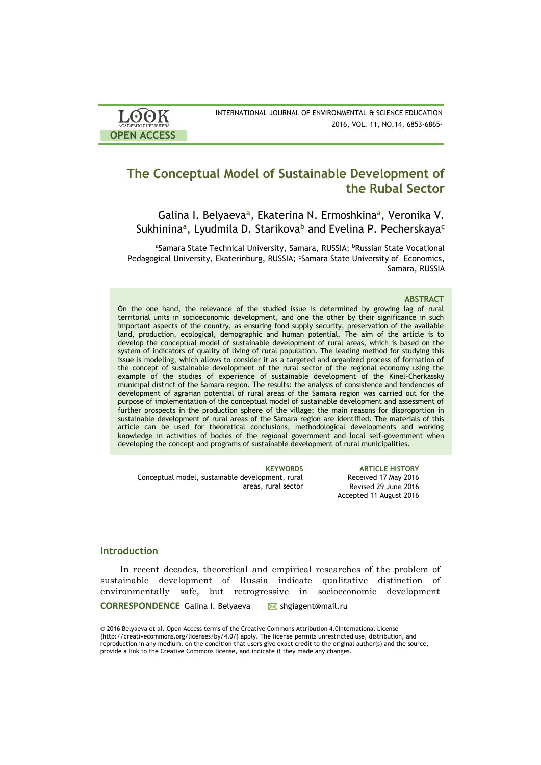| <b>LOOK</b>                | INTERNATIONAL JOURNAL OF ENVIRONMENTAL & SCIENCE EDUCATION |
|----------------------------|------------------------------------------------------------|
| <b>ACADEMIC PUBLISHERS</b> | 2016, VOL. 11, NO.14, 6853-6865-                           |
| <b>OPEN ACCESS</b>         |                                                            |

# **The Conceptual Model of Sustainable Development of the Rubal Sector**

Galina I. Belyaeva<sup>a</sup>, Ekaterina N. Ermoshkina<sup>a</sup>, Veronika V. Sukhinina**<sup>a</sup>** , Lyudmila D. Starikova**<sup>b</sup>** and Evelina P. Pecherskaya**<sup>c</sup>**

aSamara State Technical University, Samara, RUSSIA; <sup>b</sup>Russian State Vocational Pedagogical University, Ekaterinburg, RUSSIA; <sup>c</sup>Samara State University of Economics, Samara, RUSSIA

#### **ABSTRACT**

On the one hand, the relevance of the studied issue is determined by growing lag of rural territorial units in socioeconomic development, and one the other by their significance in such important aspects of the country, as ensuring food supply security, preservation of the available land, production, ecological, demographic and human potential. The aim of the article is to develop the conceptual model of sustainable development of rural areas, which is based on the system of indicators of quality of living of rural population. The leading method for studying this issue is modeling, which allows to consider it as a targeted and organized process of formation of the concept of sustainable development of the rural sector of the regional economy using the example of the studies of experience of sustainable development of the Kinel-Cherkassky municipal district of the Samara region. The results: the analysis of consistence and tendencies of development of agrarian potential of rural areas of the Samara region was carried out for the purpose of implementation of the conceptual model of sustainable development and assessment of further prospects in the production sphere of the village; the main reasons for disproportion in sustainable development of rural areas of the Samara region are identified. The materials of this article can be used for theoretical conclusions, methodological developments and working knowledge in activities of bodies of the regional government and local self-government when developing the concept and programs of sustainable development of rural municipalities.

Conceptual model, sustainable development, rural areas, rural sector

**KEYWORDS ARTICLE HISTORY** Received 17 May 2016 Revised 29 June 2016 Accepted 11 August 2016

# **Introduction**

In recent decades, theoretical and empirical researches of the problem of sustainable development of Russia indicate qualitative distinction of environmentally safe, but retrogressive in socioeconomic development

**CORRESPONDENCE** Galina I. Belyaeva ■ shgiagent@mail.ru

© 2016 Belyaeva et al. Open Access terms of the Creative Commons Attribution 4.0International License (http://creativecommons.org/licenses/by/4.0/) apply. The license permits unrestricted use, distribution, and reproduction in any medium, on the condition that users give exact credit to the original author(s) and the source, provide a link to the Creative Commons license, and indicate if they made any changes.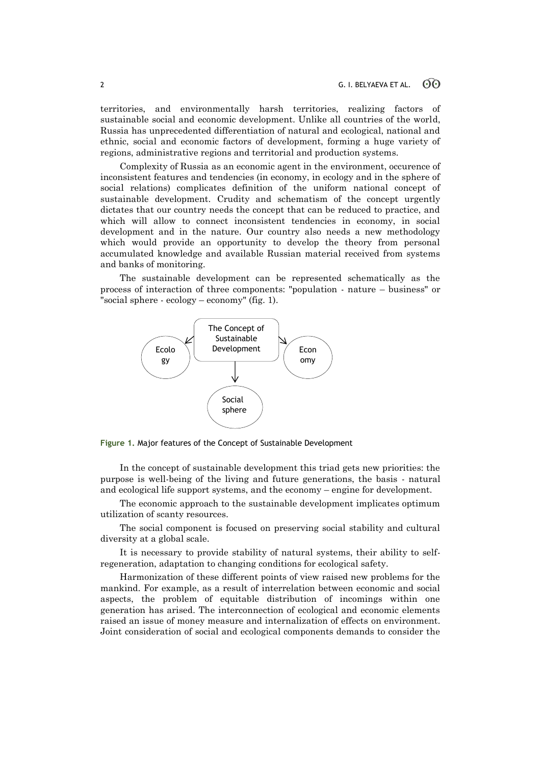territories, and environmentally harsh territories, realizing factors of sustainable social and economic development. Unlike all countries of the world, Russia has unprecedented differentiation of natural and ecological, national and ethnic, social and economic factors of development, forming a huge variety of regions, administrative regions and territorial and production systems.

Complexity of Russia as an economic agent in the environment, occurence of inconsistent features and tendencies (in economy, in ecology and in the sphere of social relations) complicates definition of the uniform national concept of sustainable development. Crudity and schematism of the concept urgently dictates that our country needs the concept that can be reduced to practice, and which will allow to connect inconsistent tendencies in economy, in social development and in the nature. Our country also needs a new methodology which would provide an opportunity to develop the theory from personal accumulated knowledge and available Russian material received from systems and banks of monitoring.

The sustainable development can be represented schematically as the process of interaction of three components: "population - nature – business" or "social sphere - ecology – economy" (fig. 1).



**Figure 1.** Major features of the Concept of Sustainable Development

In the concept of sustainable development this triad gets new priorities: the purpose is well-being of the living and future generations, the basis - natural and ecological life support systems, and the economy – engine for development.

The economic approach to the sustainable development implicates optimum utilization of scanty resources.

The social component is focused on preserving social stability and cultural diversity at a global scale.

It is necessary to provide stability of natural systems, their ability to selfregeneration, adaptation to changing conditions for ecological safety.

Harmonization of these different points of view raised new problems for the mankind. For example, as a result of interrelation between economic and social aspects, the problem of equitable distribution of incomings within one generation has arised. The interconnection of ecological and economic elements raised an issue of money measure and internalization of effects on environment. Joint consideration of social and ecological components demands to consider the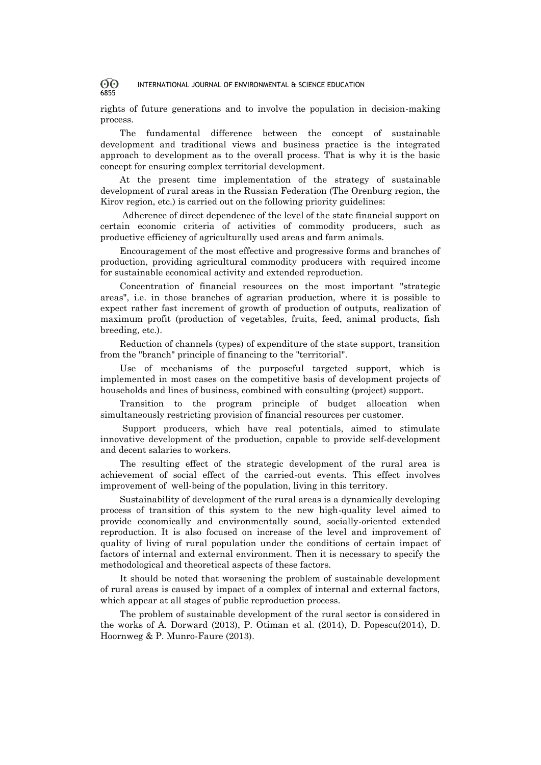rights of future generations and to involve the population in decision-making process.

The fundamental difference between the concept of sustainable development and traditional views and business practice is the integrated approach to development as to the overall process. That is why it is the basic concept for ensuring complex territorial development.

At the present time implementation of the strategy of sustainable development of rural areas in the Russian Federation (The Orenburg region, the Kirov region, etc.) is carried out on the following priority guidelines:

Adherence of direct dependence of the level of the state financial support on certain economic criteria of activities of commodity producers, such as productive efficiency of agriculturally used areas and farm animals.

Encouragement of the most effective and progressive forms and branches of production, providing agricultural commodity producers with required income for sustainable economical activity and extended reproduction.

Concentration of financial resources on the most important "strategic areas", i.e. in those branches of agrarian production, where it is possible to expect rather fast increment of growth of production of outputs, realization of maximum profit (production of vegetables, fruits, feed, animal products, fish breeding, etc.).

Reduction of channels (types) of expenditure of the state support, transition from the "branch" principle of financing to the "territorial".

Use of mechanisms of the purposeful targeted support, which is implemented in most cases on the competitive basis of development projects of households and lines of business, combined with consulting (project) support.

Transition to the program principle of budget allocation when simultaneously restricting provision of financial resources per customer.

Support producers, which have real potentials, aimed to stimulate innovative development of the production, capable to provide self-development and decent salaries to workers.

The resulting effect of the strategic development of the rural area is achievement of social effect of the carried-out events. This effect involves improvement of well-being of the population, living in this territory.

Sustainability of development of the rural areas is a dynamically developing process of transition of this system to the new high-quality level aimed to provide economically and environmentally sound, socially-oriented extended reproduction. It is also focused on increase of the level and improvement of quality of living of rural population under the conditions of certain impact of factors of internal and external environment. Then it is necessary to specify the methodological and theoretical aspects of these factors.

It should be noted that worsening the problem of sustainable development of rural areas is caused by impact of a complex of internal and external factors, which appear at all stages of public reproduction process.

The problem of sustainable development of the rural sector is considered in the works of A. Dorward (2013), P. Otiman et al. (2014), D. Popescu(2014), D. Hoornweg & P. Munro-Faure (2013).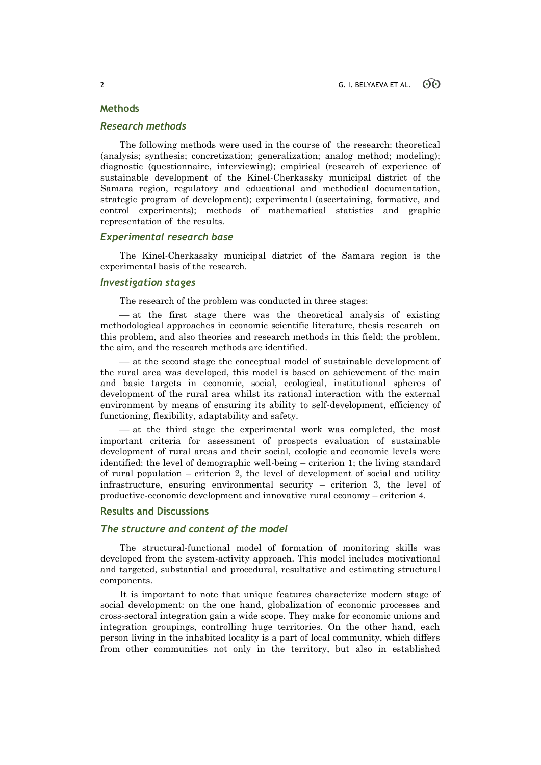# **Methods**

## *Research methods*

The following methods were used in the course of the research: theoretical (analysis; synthesis; concretization; generalization; analog method; modeling); diagnostic (questionnaire, interviewing); empirical (research of experience of sustainable development of the Kinel-Cherkassky municipal district of the Samara region, regulatory and educational and methodical documentation, strategic program of development); experimental (ascertaining, formative, and control experiments); methods of mathematical statistics and graphic representation of the results.

# *Experimental research base*

The Kinel-Cherkassky municipal district of the Samara region is the experimental basis of the research.

# *Investigation stages*

The research of the problem was conducted in three stages:

 at the first stage there was the theoretical analysis of existing methodological approaches in economic scientific literature, thesis research on this problem, and also theories and research methods in this field; the problem, the aim, and the research methods are identified.

 at the second stage the conceptual model of sustainable development of the rural area was developed, this model is based on achievement of the main and basic targets in economic, social, ecological, institutional spheres of development of the rural area whilst its rational interaction with the external environment by means of ensuring its ability to self-development, efficiency of functioning, flexibility, adaptability and safety.

 $-$  at the third stage the experimental work was completed, the most important criteria for assessment of prospects evaluation of sustainable development of rural areas and their social, ecologic and economic levels were identified: the level of demographic well-being – criterion 1; the living standard of rural population – criterion 2, the level of development of social and utility infrastructure, ensuring environmental security – criterion 3, the level of productive-economic development and innovative rural economy – criterion 4.

## **Results and Discussions**

# *The structure and content of the model*

The structural-functional model of formation of monitoring skills was developed from the system-activity approach. This model includes motivational and targeted, substantial and procedural, resultative and estimating structural components.

It is important to note that unique features characterize modern stage of social development: on the one hand, globalization of economic processes and cross-sectoral integration gain a wide scope. They make for economic unions and integration groupings, controlling huge territories. On the other hand, each person living in the inhabited locality is a part of local community, which differs from other communities not only in the territory, but also in established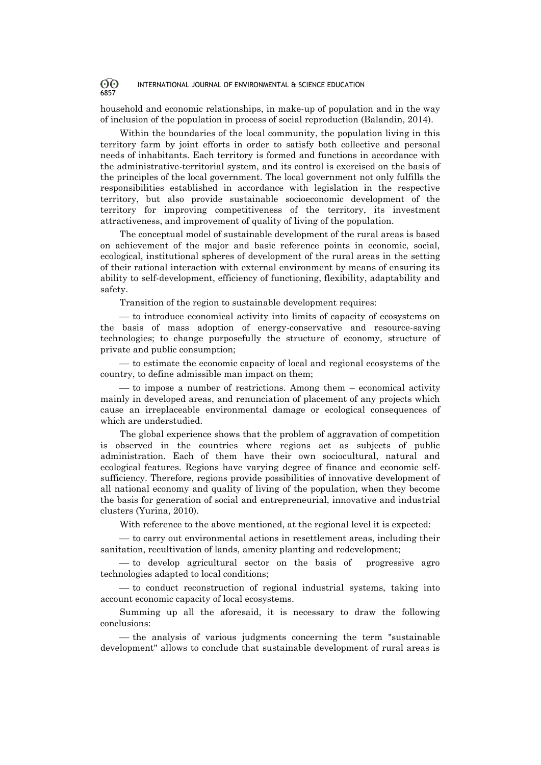household and economic relationships, in make-up of population and in the way of inclusion of the population in process of social reproduction (Balandin, 2014).

Within the boundaries of the local community, the population living in this territory farm by joint efforts in order to satisfy both collective and personal needs of inhabitants. Each territory is formed and functions in accordance with the administrative-territorial system, and its control is exercised on the basis of the principles of the local government. The local government not only fulfills the responsibilities established in accordance with legislation in the respective territory, but also provide sustainable socioeconomic development of the territory for improving competitiveness of the territory, its investment attractiveness, and improvement of quality of living of the population.

The conceptual model of sustainable development of the rural areas is based on achievement of the major and basic reference points in economic, social, ecological, institutional spheres of development of the rural areas in the setting of their rational interaction with external environment by means of ensuring its ability to self-development, efficiency of functioning, flexibility, adaptability and safety.

Transition of the region to sustainable development requires:

 to introduce economical activity into limits of capacity of ecosystems on the basis of mass adoption of energy-conservative and resource-saving technologies; to change purposefully the structure of economy, structure of private and public consumption;

 $\sim$  to estimate the economic capacity of local and regional ecosystems of the country, to define admissible [man impact](http://www.multitran.ru/c/m.exe?t=1532385_1_2&s1=%E0%ED%F2%F0%EE%EF%EE%E3%E5%ED%ED%EE%E5%20%E2%EE%E7%E4%E5%E9%F1%F2%E2%E8%E5) on them;

 to impose a number of restrictions. Among them – economical activity mainly in developed areas, and renunciation of placement of any projects which cause an irreplaceable environmental damage or ecological consequences of which are understudied.

The global experience shows that the problem of aggravation of competition is observed in the countries where regions act as subjects of public administration. Each of them have their own sociocultural, natural and ecological features. Regions have varying degree of finance and economic selfsufficiency. Therefore, regions provide possibilities of innovative development of all national economy and quality of living of the population, when they become the basis for generation of social and entrepreneurial, innovative and industrial clusters (Yurina, 2010).

With reference to the above mentioned, at the regional level it is expected:

 to carry out environmental actions in resettlement areas, including their sanitation, recultivation of lands, [amenity planting](http://www.multitran.ru/c/m.exe?t=1389897_1_2&ifp=1&s1=amenity%20planting) and redevelopment;

 $\sim$  to develop agricultural sector on the basis of progressive agro technologies adapted to local conditions;

 $\sim$  to conduct reconstruction of regional industrial systems, taking into account economic capacity of local ecosystems.

Summing up all the aforesaid, it is necessary to draw the following conclusions:

 $\overline{a}$  the analysis of various judgments concerning the term "sustainable development" allows to conclude that sustainable development of rural areas is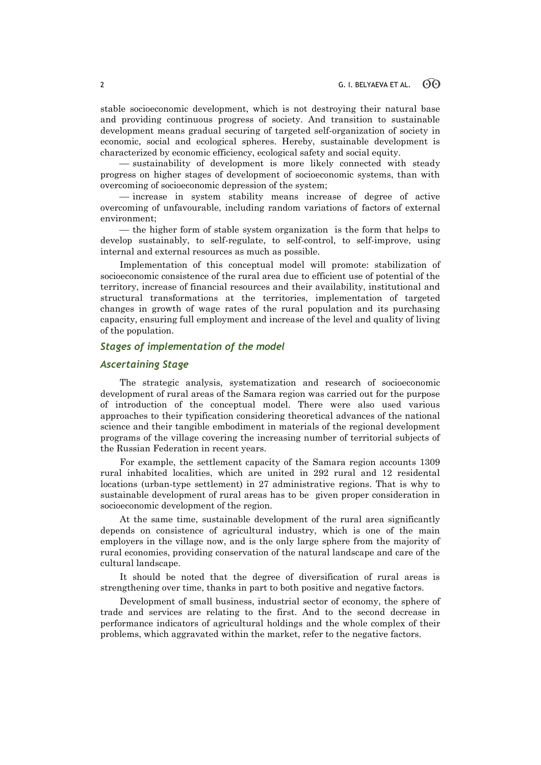stable socioeconomic development, which is not destroying their natural base and providing continuous progress of society. And transition to sustainable development means gradual securing of targeted self-organization of society in economic, social and ecological spheres. Hereby, sustainable development is characterized by economic efficiency, ecological safety and social equity.

 sustainability of development is more likely connected with steady progress on higher stages of development of socioeconomic systems, than with overcoming of socioeconomic depression of the system;

 increase in system stability means increase of degree of active overcoming of unfavourable, including random variations of factors of external environment;

 $\frac{t}{t}$  the higher form of stable system organization is the form that helps to develop sustainably, to self-regulate, to self-control, to self-improve, using internal and external resources as much as possible.

Implementation of this conceptual model will promote: stabilization of socioeconomic consistence of the rural area due to efficient use of potential of the territory, increase of financial resources and their availability, institutional and structural transformations at the territories, implementation of targeted changes in growth of wage rates of the rural population and its purchasing capacity, ensuring full employment and increase of the level and quality of living of the population.

## *Stages of implementation of the model*

## *Ascertaining Stage*

The strategic analysis, systematization and research of socioeconomic development of rural areas of the Samara region was carried out for the purpose of introduction of the conceptual model. There were also used various approaches to their typification considering theoretical advances of the national science and their tangible embodiment in materials of the regional development programs of the village covering the increasing number of territorial subjects of the Russian Federation in recent years.

For example, the settlement capacity of the Samara region accounts 1309 rural inhabited localities, which are united in 292 rural and 12 residental locations (urban-type settlement) in 27 administrative regions. That is why to sustainable development of rural areas has to be given proper consideration in socioeconomic development of the region.

At the same time, sustainable development of the rural area significantly depends on consistence of agricultural industry, which is one of the main employers in the village now, and is the only large sphere from the majority of rural economies, providing conservation of the natural landscape and care of the cultural landscape.

It should be noted that the degree of diversification of rural areas is strengthening over time, thanks in part to both positive and negative factors.

Development of small business, industrial sector of economy, the sphere of trade and services are relating to the first. And to the second decrease in performance indicators of agricultural holdings and the whole complex of their problems, which aggravated within the market, refer to the negative factors.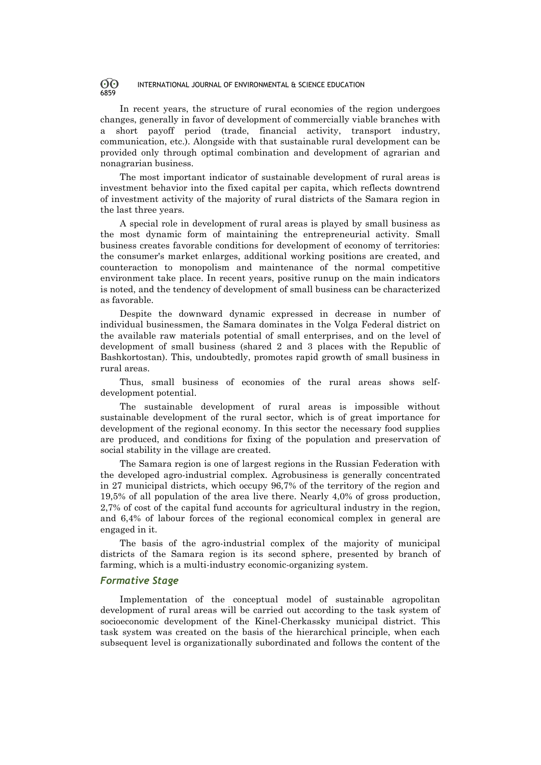In recent years, the structure of rural economies of the region undergoes changes, generally in favor of development of commercially viable branches with a short payoff period (trade, financial activity, transport industry, communication, etc.). Alongside with that sustainable rural development can be provided only through optimal combination and development of agrarian and nonagrarian business.

The most important indicator of sustainable development of rural areas is investment behavior into the fixed capital per capita, which reflects downtrend of investment activity of the majority of rural districts of the Samara region in the last three years.

A special role in development of rural areas is played by small business as the most dynamic form of maintaining the entrepreneurial activity. Small business creates favorable conditions for development of economy of territories: the consumer's market enlarges, additional working positions are created, and counteraction to monopolism and maintenance of the normal competitive environment take place. In recent years, positive runup on the main indicators is noted, and the tendency of development of small business can be characterized as favorable.

Despite the downward dynamic expressed in decrease in number of individual businessmen, the Samara dominates in the Volga Federal district on the available raw materials potential of small enterprises, and on the level of development of small business (shared 2 and 3 places with the Republic of Bashkortostan). This, undoubtedly, promotes rapid growth of small business in rural areas.

Thus, small business of economies of the rural areas shows selfdevelopment potential.

The sustainable development of rural areas is impossible without sustainable development of the rural sector, which is of great importance for development of the regional economy. In this sector the necessary food supplies are produced, and conditions for fixing of the population and preservation of social stability in the village are created.

The Samara region is one of largest regions in the Russian Federation with the developed agro-industrial complex. Agrobusiness is generally concentrated in 27 municipal districts, which occupy 96,7% of the territory of the region and 19,5% of all population of the area live there. Nearly 4,0% of gross production, 2,7% of cost of the capital fund accounts for agricultural industry in the region, and 6,4% of labour forces of the regional economical complex in general are engaged in it.

The basis of the agro-industrial complex of the majority of municipal districts of the Samara region is its second sphere, presented by branch of farming, which is a multi-industry economic-organizing system.

# *Formative Stage*

Implementation of the conceptual model of sustainable agropolitan development of rural areas will be carried out according to the task system of socioeconomic development of the Kinel-Cherkassky municipal district. This task system was created on the basis of the hierarchical principle, when each subsequent level is organizationally subordinated and follows the content of the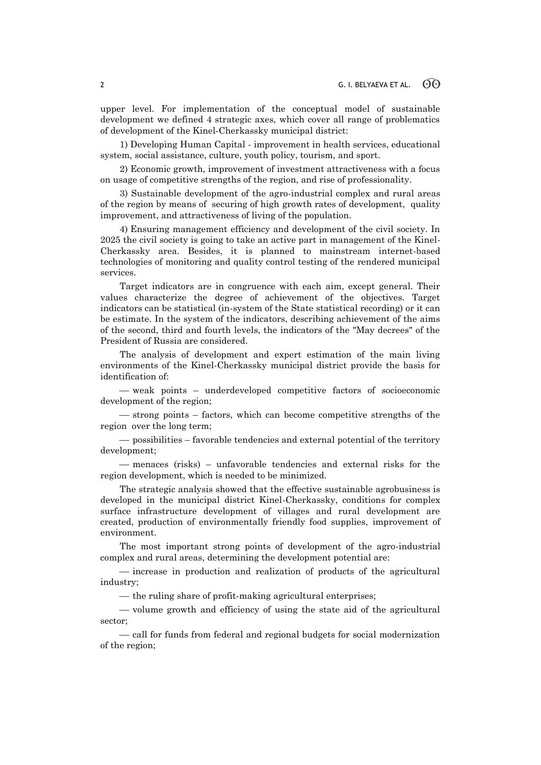upper level. For implementation of the conceptual model of sustainable development we defined 4 strategic axes, which cover all range of problematics of development of the Kinel-Cherkassky municipal district:

1) Developing Human Capital - improvement in health services, educational system, social assistance, culture, youth policy, tourism, and sport.

2) Economic growth, improvement of investment attractiveness with a focus on usage of competitive strengths of the region, and rise of professionality.

3) Sustainable development of the agro-industrial complex and rural areas of the region by means of securing of high growth rates of development, quality improvement, and attractiveness of living of the population.

4) Ensuring management efficiency and development of the civil society. In 2025 the civil society is going to take an active part in management of the Kinel-Cherkassky area. Besides, it is planned to mainstream internet-based technologies of monitoring and quality control testing of the rendered municipal services.

Target indicators are in congruence with each aim, except general. Their values characterize the degree of achievement of the objectives. Target indicators can be statistical (in-system of the State statistical recording) or it can be estimate. In the system of the indicators, describing achievement of the aims of the second, third and fourth levels, the indicators of the "May decrees" of the President of Russia are considered.

The analysis of development and expert estimation of the main living environments of the Kinel-Cherkassky municipal district provide the basis for identification of:

 weak points – underdeveloped competitive factors of socioeconomic development of the region;

 $\sim$  strong points – factors, which can become competitive strengths of the region over the long term;

 possibilities – favorable tendencies and external potential of the territory development;

 $-$  menaces (risks) – unfavorable tendencies and external risks for the region development, which is needed to be minimized.

The strategic analysis showed that the effective sustainable agrobusiness is developed in the municipal district Kinel-Cherkassky, conditions for complex surface infrastructure development of villages and rural development are created, production of environmentally friendly food supplies, improvement of environment.

The most important strong points of development of the agro-industrial complex and rural areas, determining the development potential are:

increase in production and realization of products of the agricultural industry;

 $\frac{1}{\sqrt{1-\frac{1}{\sqrt{1-\frac{1}{\sqrt{1-\frac{1}{\sqrt{1-\frac{1}{\sqrt{1-\frac{1}{\sqrt{1-\frac{1}{\sqrt{1-\frac{1}{\sqrt{1-\frac{1}{\sqrt{1-\frac{1}{\sqrt{1-\frac{1}{\sqrt{1-\frac{1}{\sqrt{1-\frac{1}{\sqrt{1-\frac{1}{\sqrt{1-\frac{1}{\sqrt{1-\frac{1}{\sqrt{1-\frac{1}{\sqrt{1-\frac{1}{\sqrt{1-\frac{1}{\sqrt{1-\frac{1}{\sqrt{1-\frac{1}{\sqrt{1-\frac{1}{\sqrt{1-\frac{1}{\sqrt{1-\frac{1}{\sqrt{1-\frac{1}{$ 

- volume growth and efficiency of using the state aid of the agricultural sector;

 $\frac{1}{x}$  call for funds from federal and regional budgets for social modernization of the region;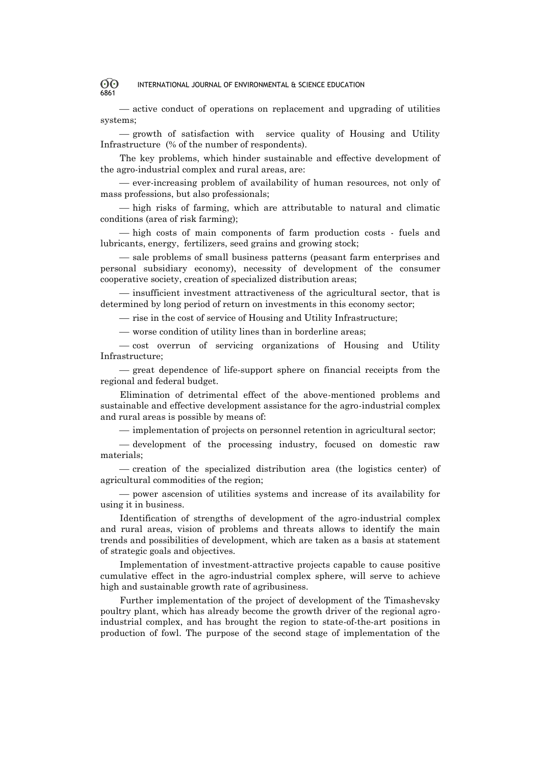active conduct of operations on replacement and upgrading of utilities systems;

 $-$  growth of satisfaction with service quality of Housing and Utility Infrastructure (% of the number of respondents).

The key problems, which hinder sustainable and effective development of the agro-industrial complex and rural areas, are:

 ever-increasing problem of availability of human resources, not only of mass professions, but also professionals;

 $-$  high risks of farming, which are attributable to natural and climatic conditions (area of risk farming);

 high costs of main components of farm production costs - fuels and lubricants, energy, fertilizers, seed grains and growing stock;

 sale problems of small business patterns (peasant farm enterprises and personal subsidiary economy), necessity of development of the consumer cooperative society, creation of specialized distribution areas;

 $\frac{1}{10}$  insufficient investment attractiveness of the agricultural sector, that is determined by long period of return on investments in this economy sector;

- rise in the cost of service of Housing and Utility Infrastructure;

worse condition of utility lines than in borderline areas;

 $\sim$  cost overrun of servicing organizations of Housing and Utility Infrastructure;

 great dependence of life-support sphere on financial receipts from the regional and federal budget.

Elimination of detrimental effect of the above-mentioned problems and sustainable and effective development assistance for the agro-industrial complex and rural areas is possible by means of:

 $\frac{1}{10}$  implementation of projects on personnel retention in agricultural sector;

 development of the processing industry, focused on domestic raw materials;

 creation of the specialized distribution area (the logistics center) of agricultural commodities of the region;

 power ascension of utilities systems and increase of its availability for using it in business.

Identification of strengths of development of the agro-industrial complex and rural areas, vision of problems and threats allows to identify the main trends and possibilities of development, which are taken as a basis at statement of strategic goals and objectives.

Implementation of investment-attractive projects capable to cause positive cumulative effect in the agro-industrial complex sphere, will serve to achieve high and sustainable growth rate of agribusiness.

Further implementation of the project of development of the Timashevsky poultry plant, which has already become the growth driver of the regional agroindustrial complex, and has brought the region to state-of-the-art positions in production of fowl. The purpose of the second stage of implementation of the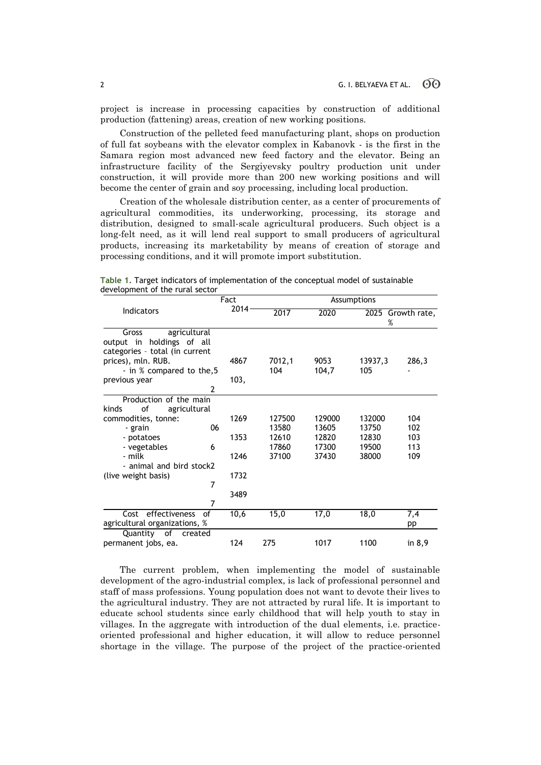project is increase in processing capacities by construction of additional production (fattening) areas, creation of new working positions.

Construction of the pelleted feed manufacturing plant, shops on production of full fat soybeans with the elevator complex in Kabanovk - is the first in the Samara region most advanced new feed factory and the elevator. Being an infrastructure facility of the Sergiyevsky poultry production unit under construction, it will provide more than 200 new working positions and will become the center of grain and soy processing, including local production.

Creation of the wholesale distribution center, as a center of procurements of agricultural commodities, its underworking, processing, its storage and distribution, designed to small-scale agricultural producers. Such object is a long-felt need, as it will lend real support to small producers of agricultural products, increasing its marketability by means of creation of storage and processing conditions, and it will promote import substitution.

|                                | Fact |      | Assumptions |        |                   |          |
|--------------------------------|------|------|-------------|--------|-------------------|----------|
| <b>Indicators</b>              |      | 2014 | 2017        | 2020   | 2025 Growth rate, |          |
|                                |      |      |             |        | %                 |          |
| agricultural<br>Gross          |      |      |             |        |                   |          |
| holdings of all<br>output in   |      |      |             |        |                   |          |
| categories - total (in current |      |      |             |        |                   |          |
| prices), mln. RUB.             |      | 4867 | 7012,1      | 9053   | 13937,3           | 286,3    |
| - in % compared to the, 5      |      |      | 104         | 104,7  | 105               |          |
| previous year                  |      | 103, |             |        |                   |          |
|                                | 2    |      |             |        |                   |          |
| Production of the main         |      |      |             |        |                   |          |
| of<br>agricultural<br>kinds    |      |      |             |        |                   |          |
| commodities, tonne:            |      | 1269 | 127500      | 129000 | 132000            | 104      |
| - grain                        | 06   |      | 13580       | 13605  | 13750             | 102      |
| - potatoes                     |      | 1353 | 12610       | 12820  | 12830             | 103      |
| - vegetables                   | 6    |      | 17860       | 17300  | 19500             | 113      |
| - milk                         |      | 1246 | 37100       | 37430  | 38000             | 109      |
| - animal and bird stock2       |      |      |             |        |                   |          |
| (live weight basis)            |      | 1732 |             |        |                   |          |
|                                | 7    |      |             |        |                   |          |
|                                |      | 3489 |             |        |                   |          |
|                                | 7    |      |             |        |                   |          |
| Cost effectiveness             | of   | 10,6 | 15,0        | 17,0   | 18,0              | 7,4      |
| agricultural organizations, %  |      |      |             |        |                   | pp       |
| Quantity of<br>created         |      |      |             |        |                   |          |
| permanent jobs, ea.            |      | 124  | 275         | 1017   | 1100              | in $8,9$ |

**Table 1.** Target indicators of implementation of the conceptual model of sustainable development of the rural sector

The current problem, when implementing the model of sustainable development of the agro-industrial complex, is lack of professional personnel and staff of mass professions. Young population does not want to devote their lives to the agricultural industry. They are not attracted by rural life. It is important to educate school students since early childhood that will help youth to stay in villages. In the aggregate with introduction of the dual elements, i.e. practiceoriented professional and higher education, it will allow to reduce personnel shortage in the village. The purpose of the project of the practice-oriented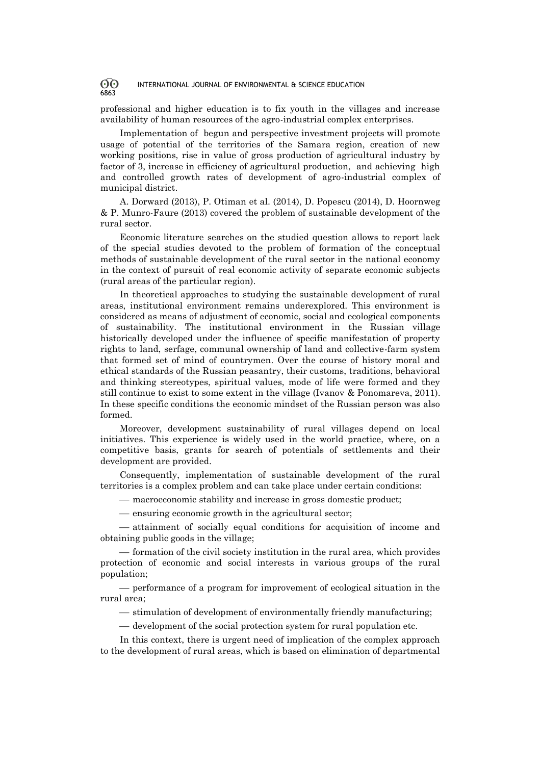professional and higher education is to fix youth in the villages and increase availability of human resources of the agro-industrial complex enterprises.

Implementation of begun and perspective investment projects will promote usage of potential of the territories of the Samara region, creation of new working positions, rise in value of gross production of agricultural industry by factor of 3, increase in efficiency of agricultural production, and achieving high and controlled growth rates of development of agro-industrial complex of municipal district.

A. Dorward (2013), P. Otiman et al. (2014), D. Popescu (2014), D. Hoornweg & P. Munro-Faure (2013) covered the problem of sustainable development of the rural sector.

Economic literature searches on the studied question allows to report lack of the special studies devoted to the problem of formation of the conceptual methods of sustainable development of the rural sector in the national economy in the context of pursuit of real economic activity of separate economic subjects (rural areas of the particular region).

In theoretical approaches to studying the sustainable development of rural areas, institutional environment remains underexplored. This environment is considered as means of adjustment of economic, social and ecological components of sustainability. The institutional environment in the Russian village historically developed under the influence of specific manifestation of property rights to land, serfage, communal ownership of land and collective-farm system that formed set of mind of countrymen. Over the course of history moral and ethical standards of the Russian peasantry, their customs, traditions, behavioral and thinking stereotypes, spiritual values, mode of life were formed and they still continue to exist to some extent in the village (Ivanov & Ponomareva, 2011). In these specific conditions the economic mindset of the Russian person was also formed.

Moreover, development sustainability of rural villages depend on local initiatives. This experience is widely used in the world practice, where, on a competitive basis, grants for search of potentials of settlements and their development are provided.

Сonsequently, implementation of sustainable development of the rural territories is a complex problem and can take place under certain conditions:

macroeconomic stability and increase in gross domestic product;

ensuring economic growth in the agricultural sector;

 attainment of socially equal conditions for acquisition of income and obtaining public goods in the village;

 $f$  formation of the civil society institution in the rural area, which provides protection of economic and social interests in various groups of the rural population;

 performance of a program for improvement of ecological situation in the rural area;

 $-$  stimulation of development of environmentally friendly manufacturing;

development of the social protection system for rural population etc.

In this context, there is urgent need of implication of the complex approach to the development of rural areas, which is based on elimination of departmental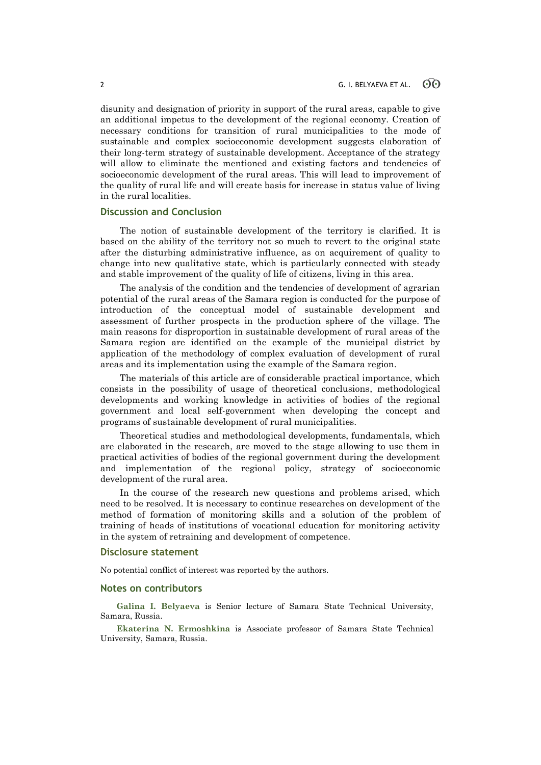disunity and designation of priority in support of the rural areas, capable to give an additional impetus to the development of the regional economy. Creation of necessary conditions for transition of rural municipalities to the mode of sustainable and complex socioeconomic development suggests elaboration of their long-term strategy of sustainable development. Acceptance of the strategy will allow to eliminate the mentioned and existing factors and tendencies of socioeconomic development of the rural areas. This will lead to improvement of the quality of rural life and will create basis for increase in status value of living in the rural localities.

## **Discussion and Conclusion**

The notion of sustainable development of the territory is clarified. It is based on the ability of the territory not so much to revert to the original state after the disturbing administrative influence, as on acquirement of quality to change into new qualitative state, which is particularly connected with steady and stable improvement of the quality of life of citizens, living in this area.

The analysis of the condition and the tendencies of development of agrarian potential of the rural areas of the Samara region is conducted for the purpose of introduction of the conceptual model of sustainable development and assessment of further prospects in the production sphere of the village. The main reasons for disproportion in sustainable development of rural areas of the Samara region are identified on the example of the municipal district by application of the methodology of complex evaluation of development of rural areas and its implementation using the example of the Samara region.

The materials of this article are of considerable practical importance, which consists in the possibility of usage of theoretical conclusions, methodological developments and working knowledge in activities of bodies of the regional government and local self-government when developing the concept and programs of sustainable development of rural municipalities.

Theoretical studies and methodological developments, fundamentals, which are elaborated in the research, are moved to the stage allowing to use them in practical activities of bodies of the regional government during the development and implementation of the regional policy, strategy of socioeconomic development of the rural area.

In the course of the research new questions and problems arised, which need to be resolved. It is necessary to continue researches on development of the method of formation of monitoring skills and a solution of the problem of training of heads of institutions of vocational education for monitoring activity in the system of retraining and development of competence.

### **Disclosure statement**

No potential conflict of interest was reported by the authors.

## **Notes on contributors**

**Galina I. Belyaeva** is Senior lecture of Samara State Technical University, Samara, Russia.

**Ekaterina N. Ermoshkina** is Associate professor of Samara State Technical University, Samara, Russia.